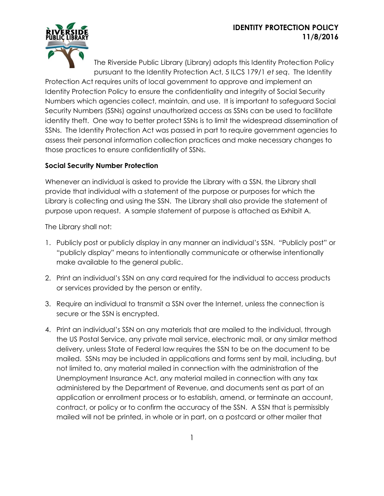

The Riverside Public Library (Library) adopts this Identity Protection Policy pursuant to the Identity Protection Act, 5 ILCS 179/1 *et seq*. The Identity Protection Act requires units of local government to approve and implement an Identity Protection Policy to ensure the confidentiality and integrity of Social Security Numbers which agencies collect, maintain, and use. It is important to safeguard Social Security Numbers (SSNs) against unauthorized access as SSNs can be used to facilitate identity theft. One way to better protect SSNs is to limit the widespread dissemination of SSNs. The Identity Protection Act was passed in part to require government agencies to assess their personal information collection practices and make necessary changes to those practices to ensure confidentiality of SSNs.

## **Social Security Number Protection**

Whenever an individual is asked to provide the Library with a SSN, the Library shall provide that individual with a statement of the purpose or purposes for which the Library is collecting and using the SSN. The Library shall also provide the statement of purpose upon request. A sample statement of purpose is attached as Exhibit A.

The Library shall not:

- 1. Publicly post or publicly display in any manner an individual's SSN. "Publicly post" or "publicly display" means to intentionally communicate or otherwise intentionally make available to the general public.
- 2. Print an individual's SSN on any card required for the individual to access products or services provided by the person or entity.
- 3. Require an individual to transmit a SSN over the Internet, unless the connection is secure or the SSN is encrypted.
- 4. Print an individual's SSN on any materials that are mailed to the individual, through the US Postal Service, any private mail service, electronic mail, or any similar method delivery, unless State of Federal law requires the SSN to be on the document to be mailed. SSNs may be included in applications and forms sent by mail, including, but not limited to, any material mailed in connection with the administration of the Unemployment Insurance Act, any material mailed in connection with any tax administered by the Department of Revenue, and documents sent as part of an application or enrollment process or to establish, amend, or terminate an account, contract, or policy or to confirm the accuracy of the SSN. A SSN that is permissibly mailed will not be printed, in whole or in part, on a postcard or other mailer that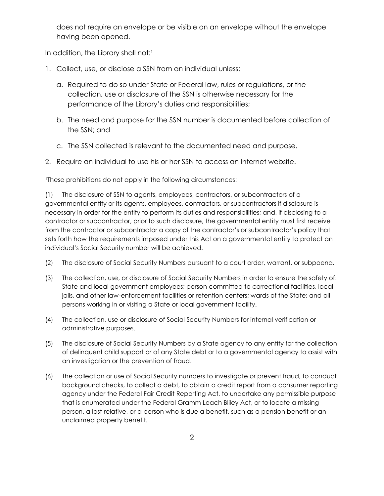does not require an envelope or be visible on an envelope without the envelope having been opened.

In addition, the Library shall not:<sup>1</sup>

 $\overline{a}$ 

- 1. Collect, use, or disclose a SSN from an individual unless:
	- a. Required to do so under State or Federal law, rules or regulations, or the collection, use or disclosure of the SSN is otherwise necessary for the performance of the Library's duties and responsibilities;
	- b. The need and purpose for the SSN number is documented before collection of the SSN; and
	- c. The SSN collected is relevant to the documented need and purpose.
- 2. Require an individual to use his or her SSN to access an Internet website.

<sup>1</sup>These prohibitions do not apply in the following circumstances:

(1) The disclosure of SSN to agents, employees, contractors, or subcontractors of a governmental entity or its agents, employees, contractors, or subcontractors if disclosure is necessary in order for the entity to perform its duties and responsibilities; and, if disclosing to a contractor or subcontractor, prior to such disclosure, the governmental entity must first receive from the contractor or subcontractor a copy of the contractor's or subcontractor's policy that sets forth how the requirements imposed under this Act on a governmental entity to protect an individual's Social Security number will be achieved.

- (2) The disclosure of Social Security Numbers pursuant to a court order, warrant, or subpoena.
- (3) The collection, use, or disclosure of Social Security Numbers in order to ensure the safety of: State and local government employees; person committed to correctional facilities, local jails, and other law-enforcement facilities or retention centers; wards of the State; and all persons working in or visiting a State or local government facility.
- (4) The collection, use or disclosure of Social Security Numbers for internal verification or administrative purposes.
- (5) The disclosure of Social Security Numbers by a State agency to any entity for the collection of delinquent child support or of any State debt or to a governmental agency to assist with an investigation or the prevention of fraud.
- (6) The collection or use of Social Security numbers to investigate or prevent fraud, to conduct background checks, to collect a debt, to obtain a credit report from a consumer reporting agency under the Federal Fair Credit Reporting Act, to undertake any permissible purpose that is enumerated under the Federal Gramm Leach Bliley Act, or to locate a missing person, a lost relative, or a person who is due a benefit, such as a pension benefit or an unclaimed property benefit.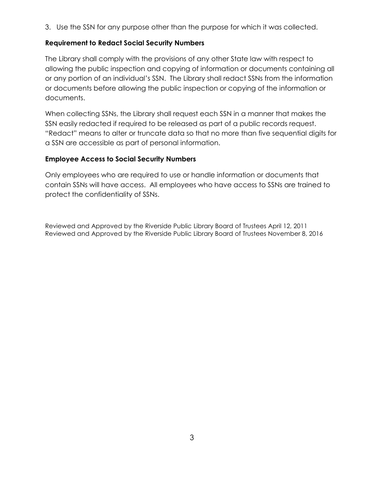3. Use the SSN for any purpose other than the purpose for which it was collected.

### **Requirement to Redact Social Security Numbers**

The Library shall comply with the provisions of any other State law with respect to allowing the public inspection and copying of information or documents containing all or any portion of an individual's SSN. The Library shall redact SSNs from the information or documents before allowing the public inspection or copying of the information or documents.

When collecting SSNs, the Library shall request each SSN in a manner that makes the SSN easily redacted if required to be released as part of a public records request. "Redact" means to alter or truncate data so that no more than five sequential digits for a SSN are accessible as part of personal information.

### **Employee Access to Social Security Numbers**

Only employees who are required to use or handle information or documents that contain SSNs will have access. All employees who have access to SSNs are trained to protect the confidentiality of SSNs.

Reviewed and Approved by the Riverside Public Library Board of Trustees April 12, 2011 Reviewed and Approved by the Riverside Public Library Board of Trustees November 8, 2016